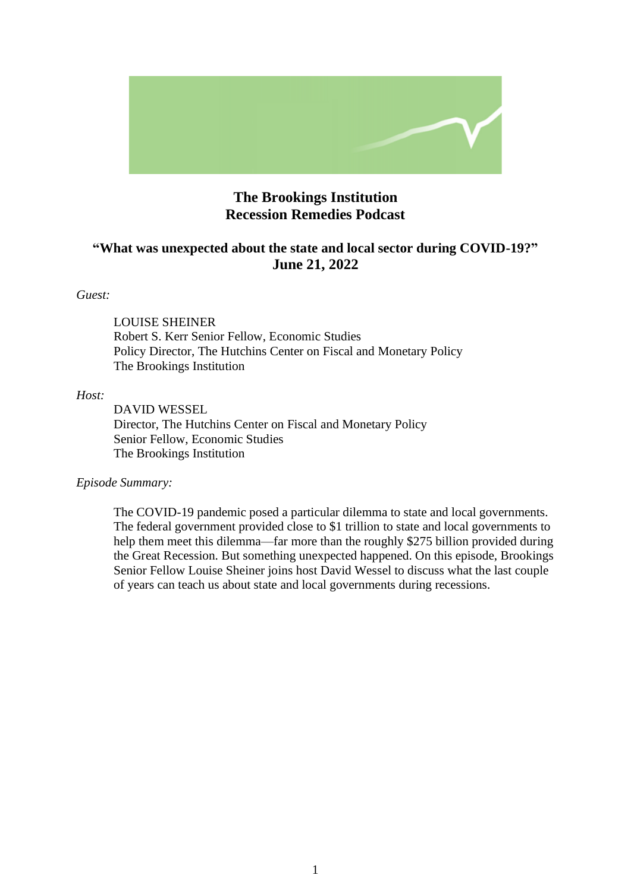

# **The Brookings Institution Recession Remedies Podcast**

# **"What was unexpected about the state and local sector during COVID-19?" June 21, 2022**

### *Guest:*

LOUISE SHEINER Robert S. Kerr Senior Fellow, Economic Studies Policy Director, The Hutchins Center on Fiscal and Monetary Policy The Brookings Institution

#### *Host:*

DAVID WESSEL Director, The Hutchins Center on Fiscal and Monetary Policy Senior Fellow, Economic Studies The Brookings Institution

### *Episode Summary:*

The COVID-19 pandemic posed a particular dilemma to state and local governments. The federal government provided close to \$1 trillion to state and local governments to help them meet this dilemma—far more than the roughly \$275 billion provided during the Great Recession. But something unexpected happened. On this episode, Brookings Senior Fellow Louise Sheiner joins host David Wessel to discuss what the last couple of years can teach us about state and local governments during recessions.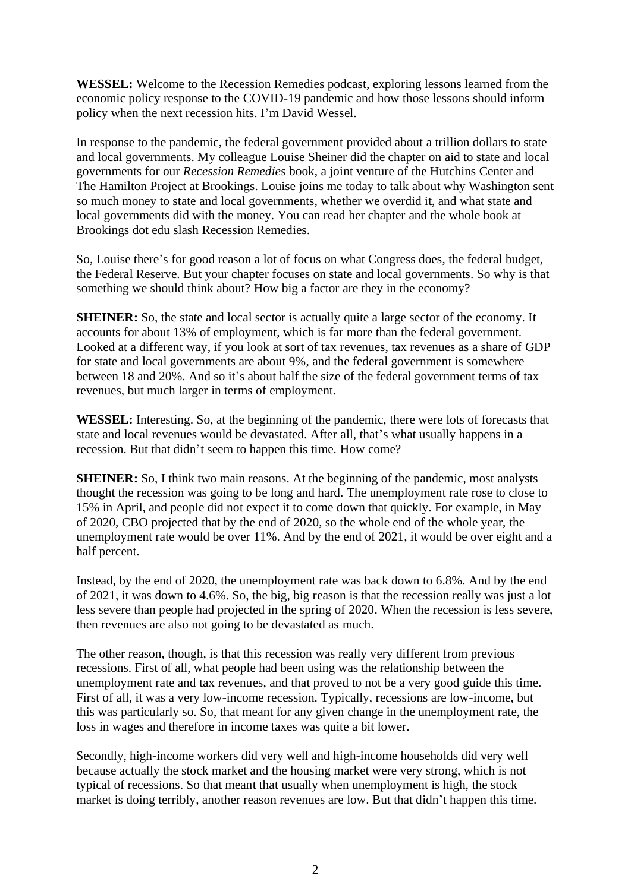**WESSEL:** Welcome to the Recession Remedies podcast, exploring lessons learned from the economic policy response to the COVID-19 pandemic and how those lessons should inform policy when the next recession hits. I'm David Wessel.

In response to the pandemic, the federal government provided about a trillion dollars to state and local governments. My colleague Louise Sheiner did the chapter on aid to state and local governments for our *Recession Remedies* book, a joint venture of the Hutchins Center and The Hamilton Project at Brookings. Louise joins me today to talk about why Washington sent so much money to state and local governments, whether we overdid it, and what state and local governments did with the money. You can read her chapter and the whole book at Brookings dot edu slash Recession Remedies.

So, Louise there's for good reason a lot of focus on what Congress does, the federal budget, the Federal Reserve. But your chapter focuses on state and local governments. So why is that something we should think about? How big a factor are they in the economy?

**SHEINER:** So, the state and local sector is actually quite a large sector of the economy. It accounts for about 13% of employment, which is far more than the federal government. Looked at a different way, if you look at sort of tax revenues, tax revenues as a share of GDP for state and local governments are about 9%, and the federal government is somewhere between 18 and 20%. And so it's about half the size of the federal government terms of tax revenues, but much larger in terms of employment.

**WESSEL:** Interesting. So, at the beginning of the pandemic, there were lots of forecasts that state and local revenues would be devastated. After all, that's what usually happens in a recession. But that didn't seem to happen this time. How come?

**SHEINER:** So, I think two main reasons. At the beginning of the pandemic, most analysts thought the recession was going to be long and hard. The unemployment rate rose to close to 15% in April, and people did not expect it to come down that quickly. For example, in May of 2020, CBO projected that by the end of 2020, so the whole end of the whole year, the unemployment rate would be over 11%. And by the end of 2021, it would be over eight and a half percent.

Instead, by the end of 2020, the unemployment rate was back down to 6.8%. And by the end of 2021, it was down to 4.6%. So, the big, big reason is that the recession really was just a lot less severe than people had projected in the spring of 2020. When the recession is less severe, then revenues are also not going to be devastated as much.

The other reason, though, is that this recession was really very different from previous recessions. First of all, what people had been using was the relationship between the unemployment rate and tax revenues, and that proved to not be a very good guide this time. First of all, it was a very low-income recession. Typically, recessions are low-income, but this was particularly so. So, that meant for any given change in the unemployment rate, the loss in wages and therefore in income taxes was quite a bit lower.

Secondly, high-income workers did very well and high-income households did very well because actually the stock market and the housing market were very strong, which is not typical of recessions. So that meant that usually when unemployment is high, the stock market is doing terribly, another reason revenues are low. But that didn't happen this time.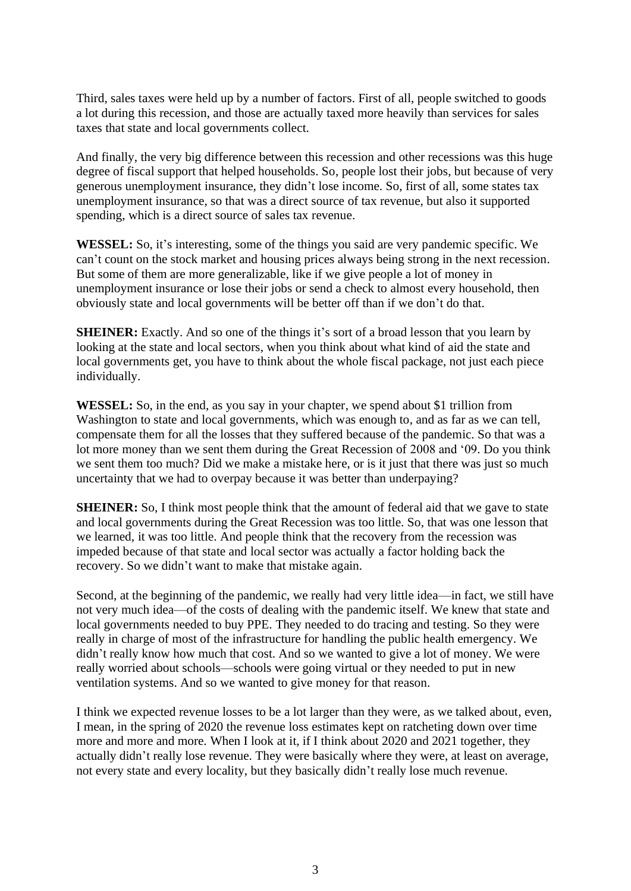Third, sales taxes were held up by a number of factors. First of all, people switched to goods a lot during this recession, and those are actually taxed more heavily than services for sales taxes that state and local governments collect.

And finally, the very big difference between this recession and other recessions was this huge degree of fiscal support that helped households. So, people lost their jobs, but because of very generous unemployment insurance, they didn't lose income. So, first of all, some states tax unemployment insurance, so that was a direct source of tax revenue, but also it supported spending, which is a direct source of sales tax revenue.

**WESSEL:** So, it's interesting, some of the things you said are very pandemic specific. We can't count on the stock market and housing prices always being strong in the next recession. But some of them are more generalizable, like if we give people a lot of money in unemployment insurance or lose their jobs or send a check to almost every household, then obviously state and local governments will be better off than if we don't do that.

**SHEINER:** Exactly. And so one of the things it's sort of a broad lesson that you learn by looking at the state and local sectors, when you think about what kind of aid the state and local governments get, you have to think about the whole fiscal package, not just each piece individually.

**WESSEL:** So, in the end, as you say in your chapter, we spend about \$1 trillion from Washington to state and local governments, which was enough to, and as far as we can tell, compensate them for all the losses that they suffered because of the pandemic. So that was a lot more money than we sent them during the Great Recession of 2008 and '09. Do you think we sent them too much? Did we make a mistake here, or is it just that there was just so much uncertainty that we had to overpay because it was better than underpaying?

**SHEINER:** So, I think most people think that the amount of federal aid that we gave to state and local governments during the Great Recession was too little. So, that was one lesson that we learned, it was too little. And people think that the recovery from the recession was impeded because of that state and local sector was actually a factor holding back the recovery. So we didn't want to make that mistake again.

Second, at the beginning of the pandemic, we really had very little idea—in fact, we still have not very much idea—of the costs of dealing with the pandemic itself. We knew that state and local governments needed to buy PPE. They needed to do tracing and testing. So they were really in charge of most of the infrastructure for handling the public health emergency. We didn't really know how much that cost. And so we wanted to give a lot of money. We were really worried about schools—schools were going virtual or they needed to put in new ventilation systems. And so we wanted to give money for that reason.

I think we expected revenue losses to be a lot larger than they were, as we talked about, even, I mean, in the spring of 2020 the revenue loss estimates kept on ratcheting down over time more and more and more. When I look at it, if I think about 2020 and 2021 together, they actually didn't really lose revenue. They were basically where they were, at least on average, not every state and every locality, but they basically didn't really lose much revenue.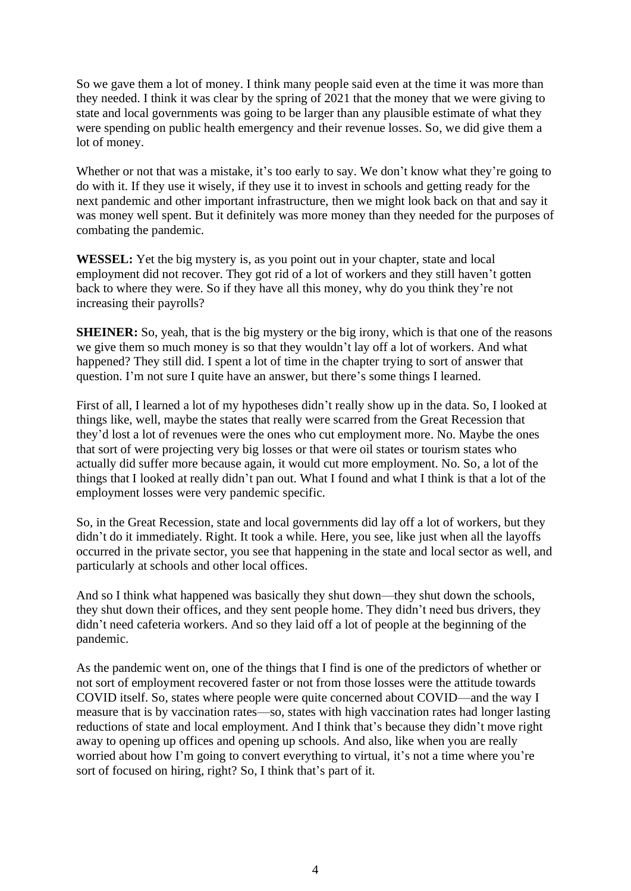So we gave them a lot of money. I think many people said even at the time it was more than they needed. I think it was clear by the spring of 2021 that the money that we were giving to state and local governments was going to be larger than any plausible estimate of what they were spending on public health emergency and their revenue losses. So, we did give them a lot of money.

Whether or not that was a mistake, it's too early to say. We don't know what they're going to do with it. If they use it wisely, if they use it to invest in schools and getting ready for the next pandemic and other important infrastructure, then we might look back on that and say it was money well spent. But it definitely was more money than they needed for the purposes of combating the pandemic.

**WESSEL:** Yet the big mystery is, as you point out in your chapter, state and local employment did not recover. They got rid of a lot of workers and they still haven't gotten back to where they were. So if they have all this money, why do you think they're not increasing their payrolls?

**SHEINER:** So, yeah, that is the big mystery or the big irony, which is that one of the reasons we give them so much money is so that they wouldn't lay off a lot of workers. And what happened? They still did. I spent a lot of time in the chapter trying to sort of answer that question. I'm not sure I quite have an answer, but there's some things I learned.

First of all, I learned a lot of my hypotheses didn't really show up in the data. So, I looked at things like, well, maybe the states that really were scarred from the Great Recession that they'd lost a lot of revenues were the ones who cut employment more. No. Maybe the ones that sort of were projecting very big losses or that were oil states or tourism states who actually did suffer more because again, it would cut more employment. No. So, a lot of the things that I looked at really didn't pan out. What I found and what I think is that a lot of the employment losses were very pandemic specific.

So, in the Great Recession, state and local governments did lay off a lot of workers, but they didn't do it immediately. Right. It took a while. Here, you see, like just when all the layoffs occurred in the private sector, you see that happening in the state and local sector as well, and particularly at schools and other local offices.

And so I think what happened was basically they shut down—they shut down the schools, they shut down their offices, and they sent people home. They didn't need bus drivers, they didn't need cafeteria workers. And so they laid off a lot of people at the beginning of the pandemic.

As the pandemic went on, one of the things that I find is one of the predictors of whether or not sort of employment recovered faster or not from those losses were the attitude towards COVID itself. So, states where people were quite concerned about COVID—and the way I measure that is by vaccination rates—so, states with high vaccination rates had longer lasting reductions of state and local employment. And I think that's because they didn't move right away to opening up offices and opening up schools. And also, like when you are really worried about how I'm going to convert everything to virtual, it's not a time where you're sort of focused on hiring, right? So, I think that's part of it.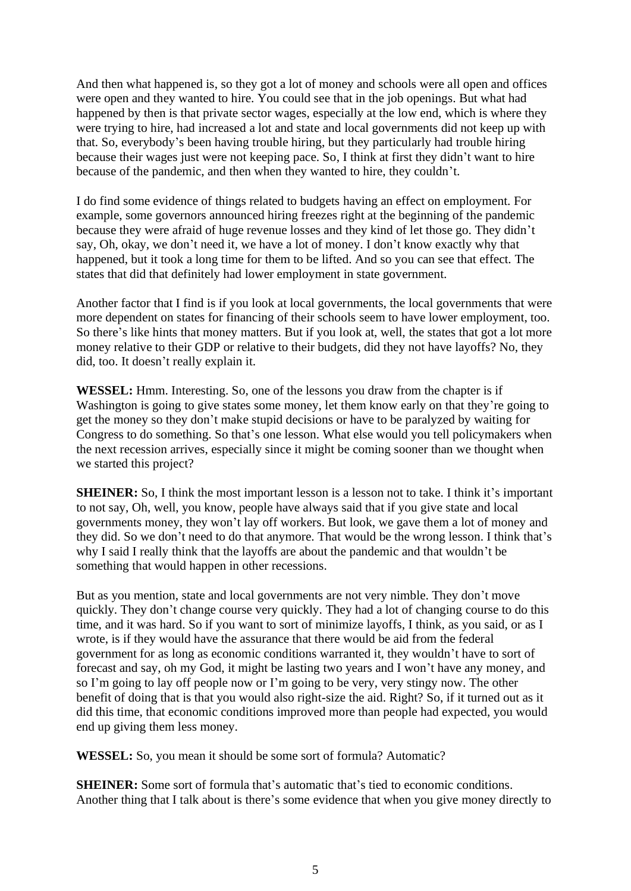And then what happened is, so they got a lot of money and schools were all open and offices were open and they wanted to hire. You could see that in the job openings. But what had happened by then is that private sector wages, especially at the low end, which is where they were trying to hire, had increased a lot and state and local governments did not keep up with that. So, everybody's been having trouble hiring, but they particularly had trouble hiring because their wages just were not keeping pace. So, I think at first they didn't want to hire because of the pandemic, and then when they wanted to hire, they couldn't.

I do find some evidence of things related to budgets having an effect on employment. For example, some governors announced hiring freezes right at the beginning of the pandemic because they were afraid of huge revenue losses and they kind of let those go. They didn't say, Oh, okay, we don't need it, we have a lot of money. I don't know exactly why that happened, but it took a long time for them to be lifted. And so you can see that effect. The states that did that definitely had lower employment in state government.

Another factor that I find is if you look at local governments, the local governments that were more dependent on states for financing of their schools seem to have lower employment, too. So there's like hints that money matters. But if you look at, well, the states that got a lot more money relative to their GDP or relative to their budgets, did they not have layoffs? No, they did, too. It doesn't really explain it.

**WESSEL:** Hmm. Interesting. So, one of the lessons you draw from the chapter is if Washington is going to give states some money, let them know early on that they're going to get the money so they don't make stupid decisions or have to be paralyzed by waiting for Congress to do something. So that's one lesson. What else would you tell policymakers when the next recession arrives, especially since it might be coming sooner than we thought when we started this project?

**SHEINER:** So, I think the most important lesson is a lesson not to take. I think it's important to not say, Oh, well, you know, people have always said that if you give state and local governments money, they won't lay off workers. But look, we gave them a lot of money and they did. So we don't need to do that anymore. That would be the wrong lesson. I think that's why I said I really think that the layoffs are about the pandemic and that wouldn't be something that would happen in other recessions.

But as you mention, state and local governments are not very nimble. They don't move quickly. They don't change course very quickly. They had a lot of changing course to do this time, and it was hard. So if you want to sort of minimize layoffs, I think, as you said, or as I wrote, is if they would have the assurance that there would be aid from the federal government for as long as economic conditions warranted it, they wouldn't have to sort of forecast and say, oh my God, it might be lasting two years and I won't have any money, and so I'm going to lay off people now or I'm going to be very, very stingy now. The other benefit of doing that is that you would also right-size the aid. Right? So, if it turned out as it did this time, that economic conditions improved more than people had expected, you would end up giving them less money.

**WESSEL:** So, you mean it should be some sort of formula? Automatic?

**SHEINER:** Some sort of formula that's automatic that's tied to economic conditions. Another thing that I talk about is there's some evidence that when you give money directly to